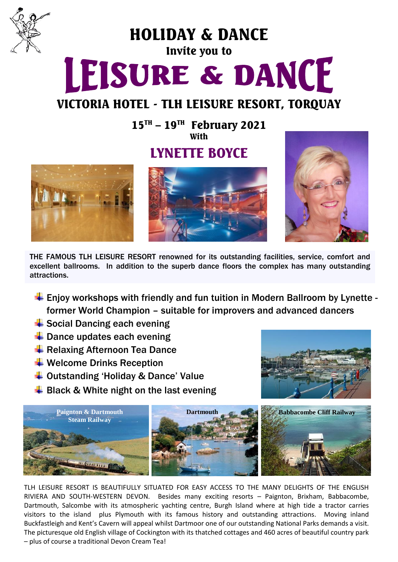

HOLIDAY & DANCE

# Invite you to LEISURE & DANCE

### VICTORIA HOTEL - TLH LEISURE RESORT, TORQUAY

 $15^{\text{TH}}$  –  $19^{\text{TH}}$  February 2021 **With** 

## LYNETTE BOYCE







THE FAMOUS TLH LEISURE RESORT renowned for its outstanding facilities, service, comfort and excellent ballrooms. In addition to the superb dance floors the complex has many outstanding attractions.

- $\ddot{+}$  Enjoy workshops with friendly and fun tuition in Modern Ballroom by Lynette former World Champion – suitable for improvers and advanced dancers
- $\triangleq$  Social Dancing each evening
- $\ddot$  Dance updates each evening
- **E** Relaxing Afternoon Tea Dance
- $\ddot$  Welcome Drinks Reception
- $\overline{\textbf{I}}$  Outstanding 'Holiday & Dance' Value
- $\frac{1}{2}$  Black & White night on the last evening





TLH LEISURE RESORT IS BEAUTIFULLY SITUATED FOR EASY ACCESS TO THE MANY DELIGHTS OF THE ENGLISH RIVIERA AND SOUTH-WESTERN DEVON. Besides many exciting resorts – Paignton, Brixham, Babbacombe, Dartmouth, Salcombe with its atmospheric yachting centre, Burgh Island where at high tide a tractor carries visitors to the island plus Plymouth with its famous history and outstanding attractions. Moving inland Buckfastleigh and Kent's Cavern will appeal whilst Dartmoor one of our outstanding National Parks demands a visit. The picturesque old English village of Cockington with its thatched cottages and 460 acres of beautiful country park – plus of course a traditional Devon Cream Tea!